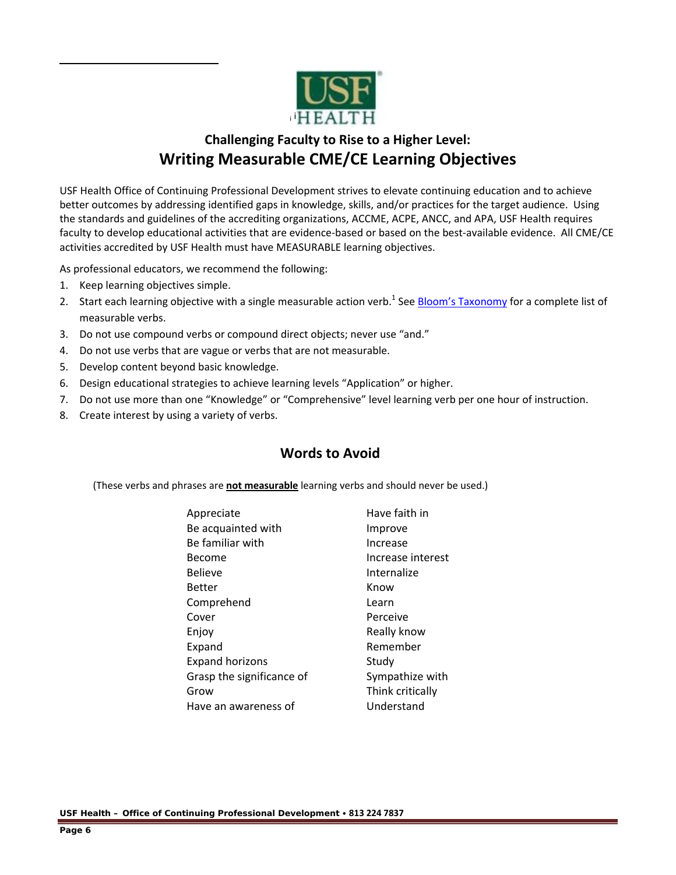

## **Challenging Faculty to Rise to a Higher Level: Writing Measurable CME/CE Learning Objectives**

USF Health Office of Continuing Professional Development strives to elevate continuing education and to achieve better outcomes by addressing identified gaps in knowledge, skills, and/or practices for the target audience. Using the standards and guidelines of the accrediting organizations, ACCME, ACPE, ANCC, and APA, USF Health requires faculty to develop educational activities that are evidence-based or based on the best-available evidence. All CME/CE activities accredited by USF Health must have MEASURABLE learning objectives.

As professional educators, we recommend the following:

1. Keep learning objectives simple.

- 2. Start each learning objective with a single measurable action verb.<sup>1</sup> See Bloom's Taxonomy for a complete list of measurable verbs.
- 3. Do not use compound verbs or compound direct objects; never use "and."
- 4. Do not use verbs that are vague or verbs that are not measurable.
- 5. Develop content beyond basic knowledge.
- 6. Design educational strategies to achieve learning levels "Application" or higher.
- 7. Do not use more than one "Knowledge" or "Comprehensive" level learning verb per one hour of instruction.
- 8. Create interest by using a variety of verbs.

## **Words to Avoid**

(These verbs and phrases are **not measurable** learning verbs and should never be used.)

| Appreciate                | Have faith in     |
|---------------------------|-------------------|
| Be acquainted with        | Improve           |
| Be familiar with          | Increase          |
| Become                    | Increase interest |
| <b>Believe</b>            | Internalize       |
| Better                    | Know              |
| Comprehend                | Learn             |
| Cover                     | Perceive          |
| Enjoy                     | Really know       |
| Expand                    | Remember          |
| <b>Expand horizons</b>    | Study             |
| Grasp the significance of | Sympathize with   |
| Grow                      | Think critically  |
| Have an awareness of      | Understand        |

**USF Health – Office of Continuing Professional Development 813 224 7837**